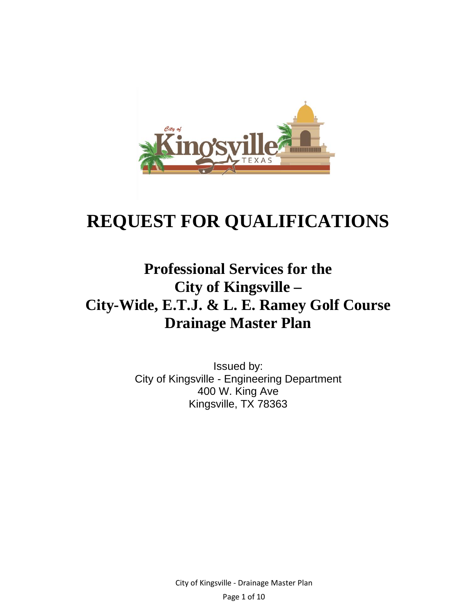

# **REQUEST FOR QUALIFICATIONS**

# **Professional Services for the City of Kingsville – City-Wide, E.T.J. & L. E. Ramey Golf Course Drainage Master Plan**

Issued by: City of Kingsville - Engineering Department 400 W. King Ave Kingsville, TX 78363

> City of Kingsville ‐ Drainage Master Plan Page 1 of 10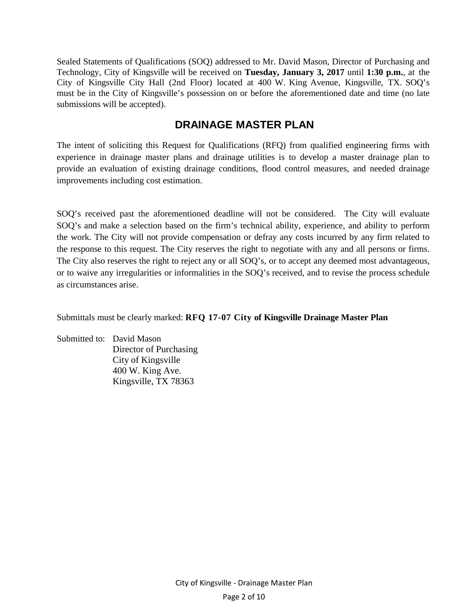Sealed Statements of Qualifications (SOQ) addressed to Mr. David Mason, Director of Purchasing and Technology, City of Kingsville will be received on **Tuesday, January 3, 2017** until **1:30 p.m.**, at the City of Kingsville City Hall (2nd Floor) located at 400 W. King Avenue, Kingsville, TX. SOQ's must be in the City of Kingsville's possession on or before the aforementioned date and time (no late submissions will be accepted).

### **DRAINAGE MASTER PLAN**

The intent of soliciting this Request for Qualifications (RFQ) from qualified engineering firms with experience in drainage master plans and drainage utilities is to develop a master drainage plan to provide an evaluation of existing drainage conditions, flood control measures, and needed drainage improvements including cost estimation.

SOQ's received past the aforementioned deadline will not be considered. The City will evaluate SOQ's and make a selection based on the firm's technical ability, experience, and ability to perform the work. The City will not provide compensation or defray any costs incurred by any firm related to the response to this request. The City reserves the right to negotiate with any and all persons or firms. The City also reserves the right to reject any or all SOQ's, or to accept any deemed most advantageous, or to waive any irregularities or informalities in the SOQ's received, and to revise the process schedule as circumstances arise.

Submittals must be clearly marked: **RFQ 17-07 City of Kingsville Drainage Master Plan**

Submitted to: David Mason Director of Purchasing City of Kingsville 400 W. King Ave. Kingsville, TX 78363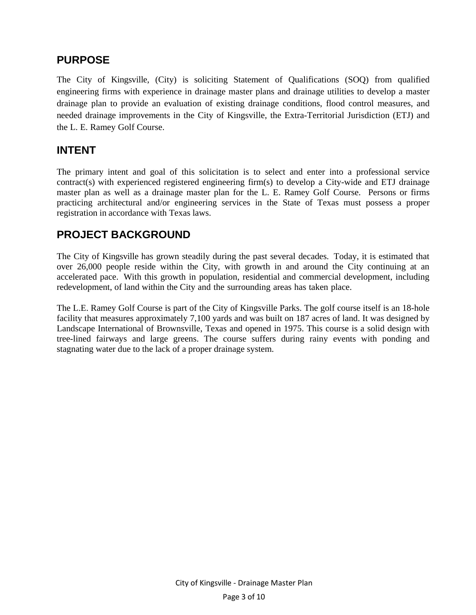### **PURPOSE**

The City of Kingsville, (City) is soliciting Statement of Qualifications (SOQ) from qualified engineering firms with experience in drainage master plans and drainage utilities to develop a master drainage plan to provide an evaluation of existing drainage conditions, flood control measures, and needed drainage improvements in the City of Kingsville, the Extra-Territorial Jurisdiction (ETJ) and the L. E. Ramey Golf Course.

### **INTENT**

The primary intent and goal of this solicitation is to select and enter into a professional service contract(s) with experienced registered engineering firm(s) to develop a City-wide and ETJ drainage master plan as well as a drainage master plan for the L. E. Ramey Golf Course. Persons or firms practicing architectural and/or engineering services in the State of Texas must possess a proper registration in accordance with Texas laws.

### **PROJECT BACKGROUND**

The City of Kingsville has grown steadily during the past several decades. Today, it is estimated that over 26,000 people reside within the City, with growth in and around the City continuing at an accelerated pace. With this growth in population, residential and commercial development, including redevelopment, of land within the City and the surrounding areas has taken place.

The L.E. Ramey Golf Course is part of the City of Kingsville Parks. The golf course itself is an 18-hole facility that measures approximately 7,100 yards and was built on 187 acres of land. It was designed by Landscape International of Brownsville, Texas and opened in 1975. This course is a solid design with tree-lined fairways and large greens. The course suffers during rainy events with ponding and stagnating water due to the lack of a proper drainage system.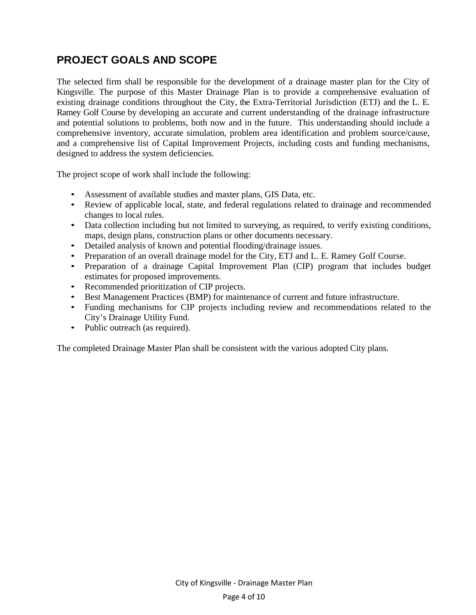### **PROJECT GOALS AND SCOPE**

The selected firm shall be responsible for the development of a drainage master plan for the City of Kingsville. The purpose of this Master Drainage Plan is to provide a comprehensive evaluation of existing drainage conditions throughout the City, the Extra-Territorial Jurisdiction (ETJ) and the L. E. Ramey Golf Course by developing an accurate and current understanding of the drainage infrastructure and potential solutions to problems, both now and in the future. This understanding should include a comprehensive inventory, accurate simulation, problem area identification and problem source/cause, and a comprehensive list of Capital Improvement Projects, including costs and funding mechanisms, designed to address the system deficiencies.

The project scope of work shall include the following:

- Assessment of available studies and master plans, GIS Data, etc.
- Review of applicable local, state, and federal regulations related to drainage and recommended changes to local rules.
- Data collection including but not limited to surveying, as required, to verify existing conditions, maps, design plans, construction plans or other documents necessary.
- Detailed analysis of known and potential flooding/drainage issues.
- Preparation of an overall drainage model for the City, ETJ and L. E. Ramey Golf Course.
- Preparation of a drainage Capital Improvement Plan (CIP) program that includes budget estimates for proposed improvements.
- Recommended prioritization of CIP projects.
- Best Management Practices (BMP) for maintenance of current and future infrastructure.
- Funding mechanisms for CIP projects including review and recommendations related to the City's Drainage Utility Fund.
- Public outreach (as required).

The completed Drainage Master Plan shall be consistent with the various adopted City plans.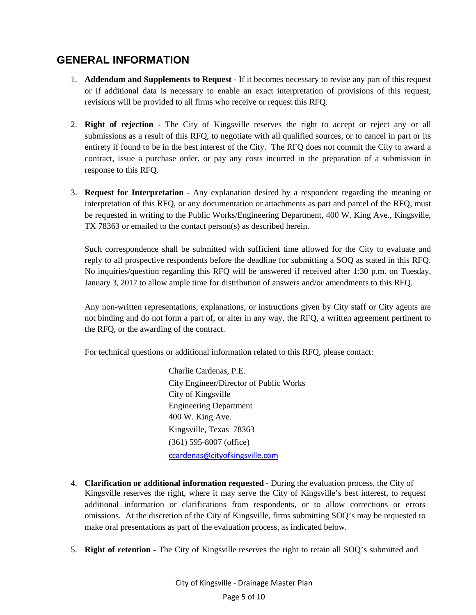### **GENERAL INFORMATION**

- 1. **Addendum and Supplements to Request** If it becomes necessary to revise any part of this request or if additional data is necessary to enable an exact interpretation of provisions of this request, revisions will be provided to all firms who receive or request this RFQ.
- 2. **Right of rejection** The City of Kingsville reserves the right to accept or reject any or all submissions as a result of this RFQ, to negotiate with all qualified sources, or to cancel in part or its entirety if found to be in the best interest of the City. The RFQ does not commit the City to award a contract, issue a purchase order, or pay any costs incurred in the preparation of a submission in response to this RFQ.
- 3. **Request for Interpretation**  Any explanation desired by a respondent regarding the meaning or interpretation of this RFQ, or any documentation or attachments as part and parcel of the RFQ, must be requested in writing to the Public Works/Engineering Department, 400 W. King Ave., Kingsville, TX 78363 or emailed to the contact person(s) as described herein.

Such correspondence shall be submitted with sufficient time allowed for the City to evaluate and reply to all prospective respondents before the deadline for submitting a SOQ as stated in this RFQ. No inquiries/question regarding this RFQ will be answered if received after 1:30 p.m. on Tuesday, January 3, 2017 to allow ample time for distribution of answers and/or amendments to this RFQ.

Any non-written representations, explanations, or instructions given by City staff or City agents are not binding and do not form a part of, or alter in any way, the RFQ, a written agreement pertinent to the RFQ, or the awarding of the contract.

For technical questions or additional information related to this RFQ, please contact:

Charlie Cardenas, P.E. City Engineer/Director of Public Works City of Kingsville Engineering Department 400 W. King Ave. Kingsville, Texas 78363 (361) 595-8007 (office) ccardenas@cityofkingsville.com

- 4. **Clarification or additional information requested** During the evaluation process, the City of Kingsville reserves the right, where it may serve the City of Kingsville's best interest, to request additional information or clarifications from respondents, or to allow corrections or errors omissions. At the discretion of the City of Kingsville, firms submitting SOQ's may be requested to make oral presentations as part of the evaluation process, as indicated below.
- 5. **Right of retention** The City of Kingsville reserves the right to retain all SOQ's submitted and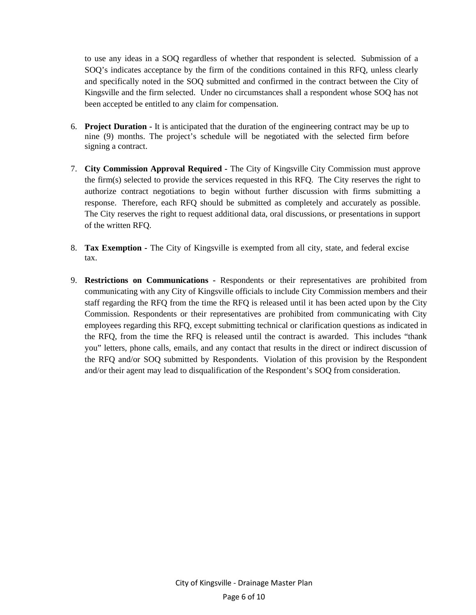to use any ideas in a SOQ regardless of whether that respondent is selected. Submission of a SOQ's indicates acceptance by the firm of the conditions contained in this RFQ, unless clearly and specifically noted in the SOQ submitted and confirmed in the contract between the City of Kingsville and the firm selected. Under no circumstances shall a respondent whose SOQ has not been accepted be entitled to any claim for compensation.

- 6. **Project Duration** It is anticipated that the duration of the engineering contract may be up to nine (9) months. The project's schedule will be negotiated with the selected firm before signing a contract.
- 7. **City Commission Approval Required** The City of Kingsville City Commission must approve the firm(s) selected to provide the services requested in this RFQ. The City reserves the right to authorize contract negotiations to begin without further discussion with firms submitting a response. Therefore, each RFQ should be submitted as completely and accurately as possible. The City reserves the right to request additional data, oral discussions, or presentations in support of the written RFQ.
- 8. **Tax Exemption** The City of Kingsville is exempted from all city, state, and federal excise tax.
- 9. **Restrictions on Communications** Respondents or their representatives are prohibited from communicating with any City of Kingsville officials to include City Commission members and their staff regarding the RFQ from the time the RFQ is released until it has been acted upon by the City Commission. Respondents or their representatives are prohibited from communicating with City employees regarding this RFQ, except submitting technical or clarification questions as indicated in the RFQ, from the time the RFQ is released until the contract is awarded. This includes "thank you" letters, phone calls, emails, and any contact that results in the direct or indirect discussion of the RFQ and/or SOQ submitted by Respondents. Violation of this provision by the Respondent and/or their agent may lead to disqualification of the Respondent's SOQ from consideration.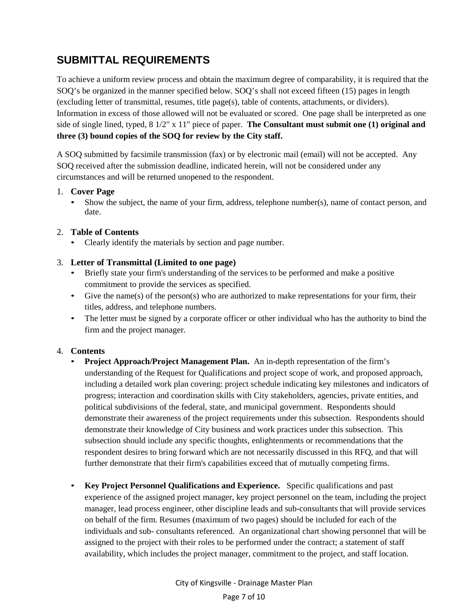## **SUBMITTAL REQUIREMENTS**

To achieve a uniform review process and obtain the maximum degree of comparability, it is required that the SOQ's be organized in the manner specified below. SOQ's shall not exceed fifteen (15) pages in length (excluding letter of transmittal, resumes, title page(s), table of contents, attachments, or dividers). Information in excess of those allowed will not be evaluated or scored. One page shall be interpreted as one side of single lined, typed, 8 1/2" x 11" piece of paper. **The Consultant must submit one (1) original and three (3) bound copies of the SOQ for review by the City staff.**

A SOQ submitted by facsimile transmission (fax) or by electronic mail (email) will not be accepted. Any SOQ received after the submission deadline, indicated herein, will not be considered under any circumstances and will be returned unopened to the respondent.

#### 1. **Cover Page**

• Show the subject, the name of your firm, address, telephone number(s), name of contact person, and date.

#### 2. **Table of Contents**

• Clearly identify the materials by section and page number.

#### 3. **Letter of Transmittal (Limited to one page)**

- Briefly state your firm's understanding of the services to be performed and make a positive commitment to provide the services as specified.
- Give the name(s) of the person(s) who are authorized to make representations for your firm, their titles, address, and telephone numbers.
- The letter must be signed by a corporate officer or other individual who has the authority to bind the firm and the project manager.

#### 4. **Contents**

- **Project Approach/Project Management Plan.** An in-depth representation of the firm's understanding of the Request for Qualifications and project scope of work, and proposed approach, including a detailed work plan covering: project schedule indicating key milestones and indicators of progress; interaction and coordination skills with City stakeholders, agencies, private entities, and political subdivisions of the federal, state, and municipal government. Respondents should demonstrate their awareness of the project requirements under this subsection. Respondents should demonstrate their knowledge of City business and work practices under this subsection. This subsection should include any specific thoughts, enlightenments or recommendations that the respondent desires to bring forward which are not necessarily discussed in this RFQ, and that will further demonstrate that their firm's capabilities exceed that of mutually competing firms.
- **Key Project Personnel Qualifications and Experience.** Specific qualifications and past experience of the assigned project manager, key project personnel on the team, including the project manager, lead process engineer, other discipline leads and sub-consultants that will provide services on behalf of the firm. Resumes (maximum of two pages) should be included for each of the individuals and sub- consultants referenced. An organizational chart showing personnel that will be assigned to the project with their roles to be performed under the contract; a statement of staff availability, which includes the project manager, commitment to the project, and staff location.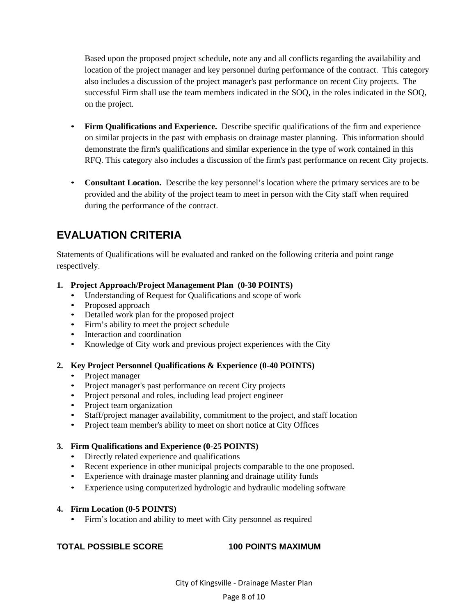Based upon the proposed project schedule, note any and all conflicts regarding the availability and location of the project manager and key personnel during performance of the contract. This category also includes a discussion of the project manager's past performance on recent City projects. The successful Firm shall use the team members indicated in the SOQ, in the roles indicated in the SOQ, on the project.

- **Firm Qualifications and Experience.** Describe specific qualifications of the firm and experience on similar projects in the past with emphasis on drainage master planning. This information should demonstrate the firm's qualifications and similar experience in the type of work contained in this RFQ. This category also includes a discussion of the firm's past performance on recent City projects.
- **Consultant Location.** Describe the key personnel's location where the primary services are to be provided and the ability of the project team to meet in person with the City staff when required during the performance of the contract.

### **EVALUATION CRITERIA**

Statements of Qualifications will be evaluated and ranked on the following criteria and point range respectively.

#### **1. Project Approach/Project Management Plan (0-30 POINTS)**

- Understanding of Request for Qualifications and scope of work
- Proposed approach
- Detailed work plan for the proposed project
- Firm's ability to meet the project schedule
- Interaction and coordination
- Knowledge of City work and previous project experiences with the City

#### **2. Key Project Personnel Qualifications & Experience (0-40 POINTS)**

- Project manager
- Project manager's past performance on recent City projects
- Project personal and roles, including lead project engineer
- Project team organization
- Staff/project manager availability, commitment to the project, and staff location
- Project team member's ability to meet on short notice at City Offices

#### **3. Firm Qualifications and Experience (0-25 POINTS)**

- Directly related experience and qualifications
- Recent experience in other municipal projects comparable to the one proposed.
- Experience with drainage master planning and drainage utility funds
- Experience using computerized hydrologic and hydraulic modeling software

#### **4. Firm Location (0-5 POINTS)**

• Firm's location and ability to meet with City personnel as required

#### **TOTAL POSSIBLE SCORE 100 POINTS MAXIMUM**

#### Page 8 of 10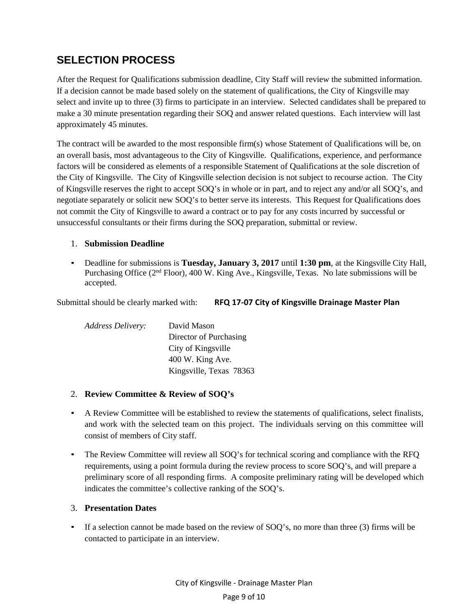### **SELECTION PROCESS**

After the Request for Qualifications submission deadline, City Staff will review the submitted information. If a decision cannot be made based solely on the statement of qualifications, the City of Kingsville may select and invite up to three (3) firms to participate in an interview. Selected candidates shall be prepared to make a 30 minute presentation regarding their SOQ and answer related questions. Each interview will last approximately 45 minutes.

The contract will be awarded to the most responsible firm(s) whose Statement of Qualifications will be, on an overall basis, most advantageous to the City of Kingsville. Qualifications, experience, and performance factors will be considered as elements of a responsible Statement of Qualifications at the sole discretion of the City of Kingsville. The City of Kingsville selection decision is not subject to recourse action. The City of Kingsville reserves the right to accept SOQ's in whole or in part, and to reject any and/or all SOQ's, and negotiate separately or solicit new SOQ's to better serve its interests. This Request for Qualifications does not commit the City of Kingsville to award a contract or to pay for any costs incurred by successful or unsuccessful consultants or their firms during the SOQ preparation, submittal or review.

#### 1. **Submission Deadline**

• Deadline for submissions is **Tuesday, January 3, 2017** until **1:30 pm**, at the Kingsville City Hall, Purchasing Office (2<sup>nd</sup> Floor), 400 W. King Ave., Kingsville, Texas. No late submissions will be accepted.

Submittal should be clearly marked with: **RFQ 17‐07 City of Kingsville Drainage Master Plan**

| <b>Address Delivery:</b> | David Mason             |
|--------------------------|-------------------------|
|                          | Director of Purchasing  |
|                          | City of Kingsville      |
|                          | 400 W. King Ave.        |
|                          | Kingsville, Texas 78363 |

#### 2. **Review Committee & Review of SOQ's**

- A Review Committee will be established to review the statements of qualifications, select finalists, and work with the selected team on this project. The individuals serving on this committee will consist of members of City staff.
- The Review Committee will review all SOQ's for technical scoring and compliance with the RFQ requirements, using a point formula during the review process to score SOQ's, and will prepare a preliminary score of all responding firms. A composite preliminary rating will be developed which indicates the committee's collective ranking of the SOQ's.

#### 3. **Presentation Dates**

• If a selection cannot be made based on the review of SOQ's, no more than three (3) firms will be contacted to participate in an interview.